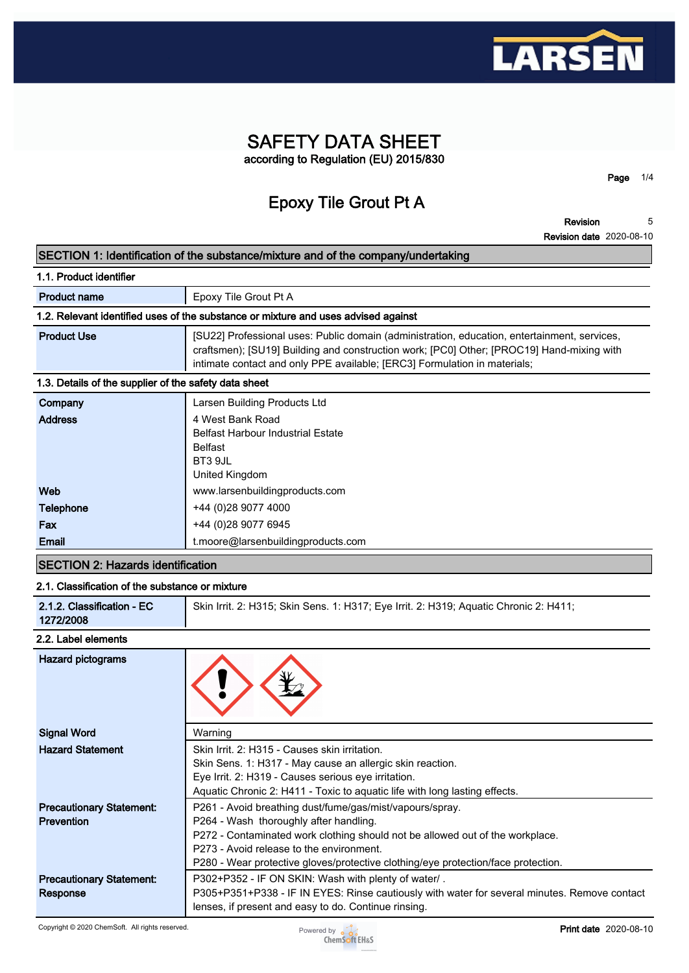

## **SAFETY DATA SHEET according to Regulation (EU) 2015/830**

**Epoxy Tile Grout Pt A**

**Revision 5**

**Page 1/4**

|                                                                                   | <b>Revision date 2020-08-10</b>                                                                                                                                                                                                                                        |  |  |
|-----------------------------------------------------------------------------------|------------------------------------------------------------------------------------------------------------------------------------------------------------------------------------------------------------------------------------------------------------------------|--|--|
| SECTION 1: Identification of the substance/mixture and of the company/undertaking |                                                                                                                                                                                                                                                                        |  |  |
| 1.1. Product identifier                                                           |                                                                                                                                                                                                                                                                        |  |  |
| <b>Product name</b>                                                               | Epoxy Tile Grout Pt A                                                                                                                                                                                                                                                  |  |  |
|                                                                                   | 1.2. Relevant identified uses of the substance or mixture and uses advised against                                                                                                                                                                                     |  |  |
| <b>Product Use</b>                                                                | [SU22] Professional uses: Public domain (administration, education, entertainment, services,<br>craftsmen); [SU19] Building and construction work; [PC0] Other; [PROC19] Hand-mixing with<br>intimate contact and only PPE available; [ERC3] Formulation in materials; |  |  |
| 1.3. Details of the supplier of the safety data sheet                             |                                                                                                                                                                                                                                                                        |  |  |
| Company                                                                           | Larsen Building Products Ltd                                                                                                                                                                                                                                           |  |  |
| <b>Address</b>                                                                    | 4 West Bank Road<br><b>Belfast Harbour Industrial Estate</b><br><b>Belfast</b><br>BT3 9JL<br>United Kingdom                                                                                                                                                            |  |  |
| Web                                                                               | www.larsenbuildingproducts.com                                                                                                                                                                                                                                         |  |  |
| Telephone                                                                         | +44 (0) 28 9077 4000                                                                                                                                                                                                                                                   |  |  |
| <b>Fax</b>                                                                        | +44 (0) 28 9077 6945                                                                                                                                                                                                                                                   |  |  |
| Email                                                                             | t.moore@larsenbuildingproducts.com                                                                                                                                                                                                                                     |  |  |

# **SECTION 2: Hazards identification**

## **2.1. Classification of the substance or mixture 2.1.2. Classification - EC 1272/2008 Skin Irrit. 2: H315; Skin Sens. 1: H317; Eye Irrit. 2: H319; Aquatic Chronic 2: H411;**

## **2.2. Label elements**

| <b>Hazard pictograms</b>                             |                                                                                                                                                                                                                                                                                                                      |
|------------------------------------------------------|----------------------------------------------------------------------------------------------------------------------------------------------------------------------------------------------------------------------------------------------------------------------------------------------------------------------|
| <b>Signal Word</b>                                   | Warning                                                                                                                                                                                                                                                                                                              |
| <b>Hazard Statement</b>                              | Skin Irrit, 2: H315 - Causes skin irritation.<br>Skin Sens. 1: H317 - May cause an allergic skin reaction.<br>Eye Irrit. 2: H319 - Causes serious eye irritation.<br>Aquatic Chronic 2: H411 - Toxic to aquatic life with long lasting effects.                                                                      |
| <b>Precautionary Statement:</b><br><b>Prevention</b> | P261 - Avoid breathing dust/fume/gas/mist/vapours/spray.<br>P264 - Wash thoroughly after handling.<br>P272 - Contaminated work clothing should not be allowed out of the workplace.<br>P273 - Avoid release to the environment.<br>P280 - Wear protective gloves/protective clothing/eye protection/face protection. |
| <b>Precautionary Statement:</b><br>Response          | P302+P352 - IF ON SKIN: Wash with plenty of water/.<br>P305+P351+P338 - IF IN EYES: Rinse cautiously with water for several minutes. Remove contact<br>lenses, if present and easy to do. Continue rinsing.                                                                                                          |

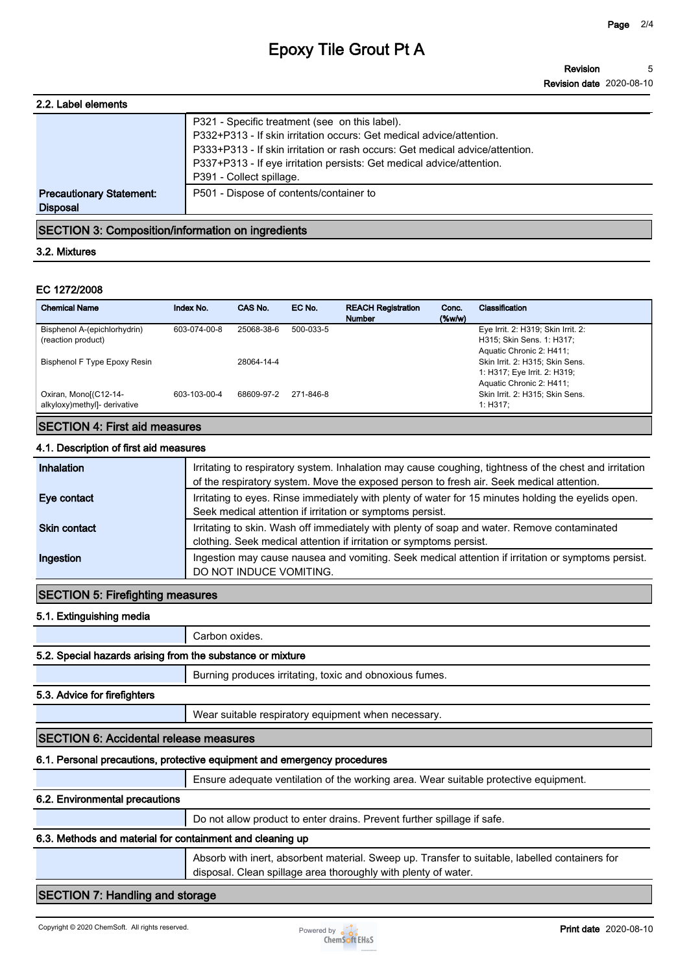## **Epoxy Tile Grout Pt A**

| 2.2. Label elements                                |                                                                                                                                                                                   |
|----------------------------------------------------|-----------------------------------------------------------------------------------------------------------------------------------------------------------------------------------|
|                                                    | P321 - Specific treatment (see on this label).<br>P332+P313 - If skin irritation occurs: Get medical advice/attention.                                                            |
|                                                    | P333+P313 - If skin irritation or rash occurs: Get medical advice/attention.<br>P337+P313 - If eye irritation persists: Get medical advice/attention.<br>P391 - Collect spillage. |
| <b>Precautionary Statement:</b><br><b>Disposal</b> | P501 - Dispose of contents/container to                                                                                                                                           |
|                                                    |                                                                                                                                                                                   |

## **SECTION 3: Composition/information on ingredients**

#### **3.2. Mixtures**

#### **EC 1272/2008**

| <b>Chemical Name</b>         | Index No.    | CAS No.    | EC No.    | <b>REACH Registration</b><br><b>Number</b> | Conc.<br>$(\%w/w)$ | Classification                     |
|------------------------------|--------------|------------|-----------|--------------------------------------------|--------------------|------------------------------------|
| Bisphenol A-(epichlorhydrin) | 603-074-00-8 | 25068-38-6 | 500-033-5 |                                            |                    | Eye Irrit. 2: H319; Skin Irrit. 2: |
| (reaction product)           |              |            |           |                                            |                    | H315; Skin Sens. 1: H317;          |
|                              |              |            |           |                                            |                    | Aquatic Chronic 2: H411;           |
| Bisphenol F Type Epoxy Resin |              | 28064-14-4 |           |                                            |                    | Skin Irrit. 2: H315; Skin Sens.    |
|                              |              |            |           |                                            |                    | 1: H317; Eye Irrit. 2: H319;       |
|                              |              |            |           |                                            |                    | Aquatic Chronic 2: H411;           |
| Oxiran, Monol(C12-14-        | 603-103-00-4 | 68609-97-2 | 271-846-8 |                                            |                    | Skin Irrit. 2: H315; Skin Sens.    |
| alkyloxy)methyl]- derivative |              |            |           |                                            |                    | 1: H317:                           |
|                              |              |            |           |                                            |                    |                                    |

## **SECTION 4: First aid measures**

## **4.1. Description of first aid measures**

| Inhalation          | Irritating to respiratory system. Inhalation may cause coughing, tightness of the chest and irritation<br>of the respiratory system. Move the exposed person to fresh air. Seek medical attention. |
|---------------------|----------------------------------------------------------------------------------------------------------------------------------------------------------------------------------------------------|
| Eye contact         | Irritating to eyes. Rinse immediately with plenty of water for 15 minutes holding the eyelids open.<br>Seek medical attention if irritation or symptoms persist.                                   |
| <b>Skin contact</b> | Irritating to skin. Wash off immediately with plenty of soap and water. Remove contaminated<br>clothing. Seek medical attention if irritation or symptoms persist.                                 |
| Ingestion           | Ingestion may cause nausea and vomiting. Seek medical attention if irritation or symptoms persist.<br>DO NOT INDUCE VOMITING.                                                                      |

## **SECTION 5: Firefighting measures**

#### **5.1. Extinguishing media**

**Carbon oxides.**

## **5.2. Special hazards arising from the substance or mixture**

**Burning produces irritating, toxic and obnoxious fumes.**

#### **5.3. Advice for firefighters**

**Wear suitable respiratory equipment when necessary.**

#### **SECTION 6: Accidental release measures**

#### **6.1. Personal precautions, protective equipment and emergency procedures**

**Ensure adequate ventilation of the working area. Wear suitable protective equipment.**

## **6.2. Environmental precautions**

**Do not allow product to enter drains. Prevent further spillage if safe.**

#### **6.3. Methods and material for containment and cleaning up**

**Absorb with inert, absorbent material. Sweep up. Transfer to suitable, labelled containers for disposal. Clean spillage area thoroughly with plenty of water.**

## **SECTION 7: Handling and storage**

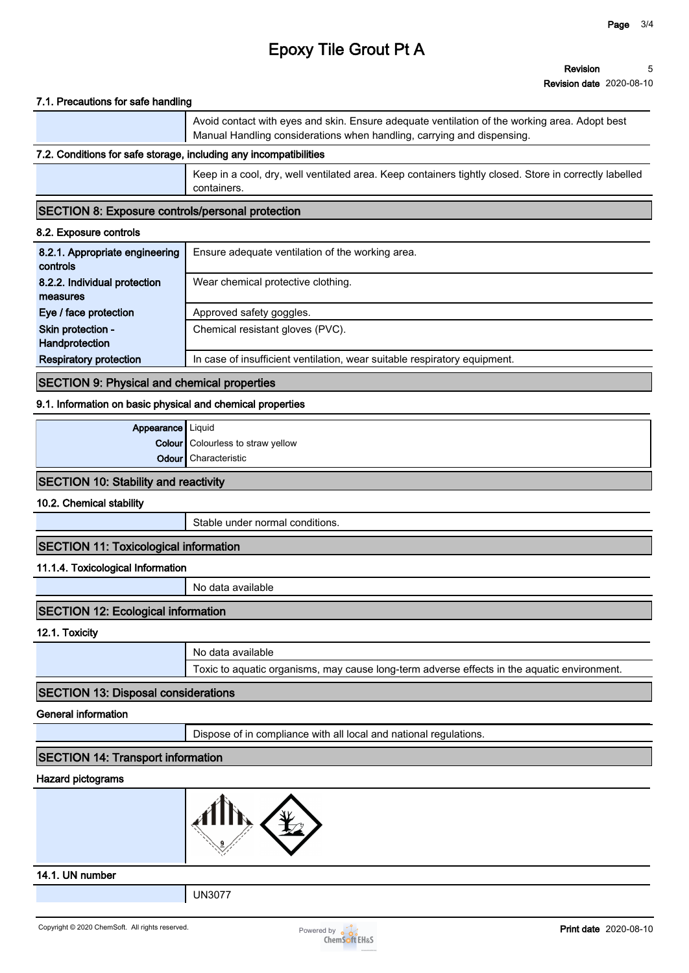# **Epoxy Tile Grout Pt A**

#### **7.1. Precautions for safe handling**

**Avoid contact with eyes and skin. Ensure adequate ventilation of the working area. Adopt best Manual Handling considerations when handling, carrying and dispensing.**

#### **7.2. Conditions for safe storage, including any incompatibilities**

**Keep in a cool, dry, well ventilated area. Keep containers tightly closed. Store in correctly labelled containers.**

#### **SECTION 8: Exposure controls/personal protection**

#### **8.2. Exposure controls**

| 8.2.1. Appropriate engineering<br>controls | Ensure adequate ventilation of the working area.                          |
|--------------------------------------------|---------------------------------------------------------------------------|
| 8.2.2. Individual protection               | Wear chemical protective clothing.                                        |
| measures                                   |                                                                           |
| Eye / face protection                      | Approved safety goggles.                                                  |
| Skin protection -                          | Chemical resistant gloves (PVC).                                          |
| Handprotection                             |                                                                           |
| <b>Respiratory protection</b>              | In case of insufficient ventilation, wear suitable respiratory equipment. |

#### **SECTION 9: Physical and chemical properties**

#### **9.1. Information on basic physical and chemical properties**

| <b>Appearance</b> Liquid |                                          |
|--------------------------|------------------------------------------|
|                          | <b>Colour</b> Colourless to straw yellow |
|                          | <b>Odour</b> Characteristic              |

## **SECTION 10: Stability and reactivity**

**10.2. Chemical stability**

**Stable under normal conditions.**

## **SECTION 11: Toxicological information**

#### **11.1.4. Toxicological Information**

**No data available**

## **SECTION 12: Ecological information**

**12.1. Toxicity**

| No data available                                                                           |
|---------------------------------------------------------------------------------------------|
| Toxic to aquatic organisms, may cause long-term adverse effects in the aquatic environment. |

### **SECTION 13: Disposal considerations**

**General information**

**Dispose of in compliance with all local and national regulations.**

## **SECTION 14: Transport information**

#### **Hazard pictograms**



#### **14.1. UN number**

**UN3077**

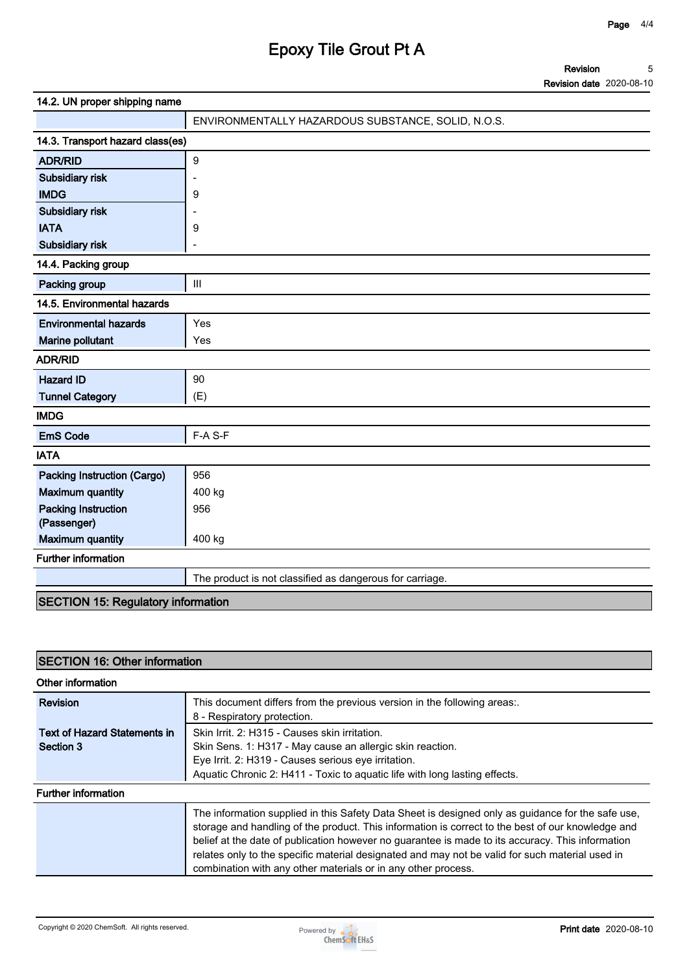# **Epoxy Tile Grout Pt A**

**Revision Revision date 2020-08-10 5**

| 14.2. UN proper shipping name             |                                                          |  |  |  |
|-------------------------------------------|----------------------------------------------------------|--|--|--|
|                                           | ENVIRONMENTALLY HAZARDOUS SUBSTANCE, SOLID, N.O.S.       |  |  |  |
| 14.3. Transport hazard class(es)          |                                                          |  |  |  |
| <b>ADR/RID</b>                            | $\boldsymbol{9}$                                         |  |  |  |
| Subsidiary risk                           |                                                          |  |  |  |
| <b>IMDG</b>                               | 9                                                        |  |  |  |
| Subsidiary risk                           |                                                          |  |  |  |
| <b>IATA</b>                               | 9                                                        |  |  |  |
| Subsidiary risk                           |                                                          |  |  |  |
| 14.4. Packing group                       |                                                          |  |  |  |
| Packing group                             | $\mathbf{III}$                                           |  |  |  |
| 14.5. Environmental hazards               |                                                          |  |  |  |
| <b>Environmental hazards</b>              | Yes                                                      |  |  |  |
| Marine pollutant                          | Yes                                                      |  |  |  |
| <b>ADR/RID</b>                            |                                                          |  |  |  |
| <b>Hazard ID</b>                          | 90                                                       |  |  |  |
| <b>Tunnel Category</b>                    | (E)                                                      |  |  |  |
| <b>IMDG</b>                               |                                                          |  |  |  |
| <b>EmS Code</b>                           | F-A S-F                                                  |  |  |  |
| <b>IATA</b>                               |                                                          |  |  |  |
| <b>Packing Instruction (Cargo)</b>        | 956                                                      |  |  |  |
| <b>Maximum quantity</b>                   | 400 kg                                                   |  |  |  |
| <b>Packing Instruction</b>                | 956                                                      |  |  |  |
| (Passenger)                               |                                                          |  |  |  |
| <b>Maximum quantity</b>                   | 400 kg                                                   |  |  |  |
| <b>Further information</b>                |                                                          |  |  |  |
|                                           | The product is not classified as dangerous for carriage. |  |  |  |
| <b>SECTION 15: Regulatory information</b> |                                                          |  |  |  |

## **SECTION 16: Other information**

| Other information            |                                                                                                                                                                                                                                                                                                                                                                                                                                                                                |  |  |  |
|------------------------------|--------------------------------------------------------------------------------------------------------------------------------------------------------------------------------------------------------------------------------------------------------------------------------------------------------------------------------------------------------------------------------------------------------------------------------------------------------------------------------|--|--|--|
| Revision                     | This document differs from the previous version in the following areas:.<br>8 - Respiratory protection.                                                                                                                                                                                                                                                                                                                                                                        |  |  |  |
| Text of Hazard Statements in | Skin Irrit. 2: H315 - Causes skin irritation.                                                                                                                                                                                                                                                                                                                                                                                                                                  |  |  |  |
| Section 3                    | Skin Sens. 1: H317 - May cause an allergic skin reaction.                                                                                                                                                                                                                                                                                                                                                                                                                      |  |  |  |
|                              | Eye Irrit. 2: H319 - Causes serious eye irritation.                                                                                                                                                                                                                                                                                                                                                                                                                            |  |  |  |
|                              | Aquatic Chronic 2: H411 - Toxic to aquatic life with long lasting effects.                                                                                                                                                                                                                                                                                                                                                                                                     |  |  |  |
| <b>Further information</b>   |                                                                                                                                                                                                                                                                                                                                                                                                                                                                                |  |  |  |
|                              | The information supplied in this Safety Data Sheet is designed only as guidance for the safe use,<br>storage and handling of the product. This information is correct to the best of our knowledge and<br>belief at the date of publication however no guarantee is made to its accuracy. This information<br>relates only to the specific material designated and may not be valid for such material used in<br>combination with any other materials or in any other process. |  |  |  |

Copyright © 2020 ChemSoft. All rights reserved.<br> **Print date** 2020-08-10<br>
ChemSoft EH&S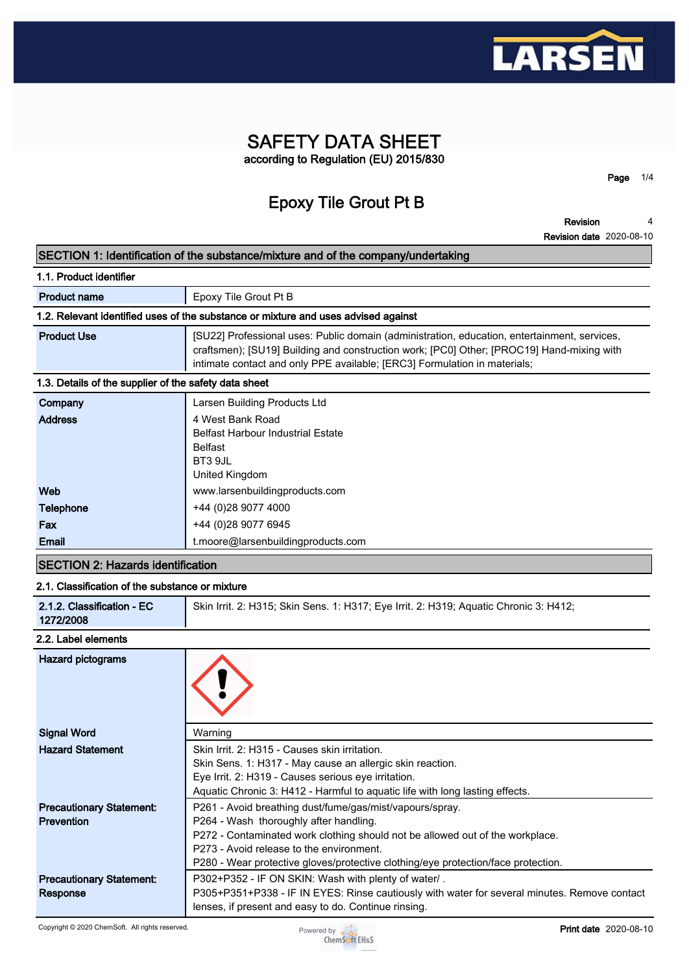

## **SAFETY DATA SHEET according to Regulation (EU) 2015/830**

**Epoxy Tile Grout Pt B**

**Revision 4**

**Page 1/4**

|                                                       | <b>Revision date 2020-08-10</b>                                                                                                                                                                                                                                        |
|-------------------------------------------------------|------------------------------------------------------------------------------------------------------------------------------------------------------------------------------------------------------------------------------------------------------------------------|
|                                                       | SECTION 1: Identification of the substance/mixture and of the company/undertaking                                                                                                                                                                                      |
| 1.1. Product identifier                               |                                                                                                                                                                                                                                                                        |
| <b>Product name</b>                                   | Epoxy Tile Grout Pt B                                                                                                                                                                                                                                                  |
|                                                       | 1.2. Relevant identified uses of the substance or mixture and uses advised against                                                                                                                                                                                     |
| <b>Product Use</b>                                    | [SU22] Professional uses: Public domain (administration, education, entertainment, services,<br>craftsmen); [SU19] Building and construction work; [PC0] Other; [PROC19] Hand-mixing with<br>intimate contact and only PPE available; [ERC3] Formulation in materials; |
| 1.3. Details of the supplier of the safety data sheet |                                                                                                                                                                                                                                                                        |
| Company                                               | Larsen Building Products Ltd                                                                                                                                                                                                                                           |
| <b>Address</b>                                        | 4 West Bank Road<br><b>Belfast Harbour Industrial Estate</b><br><b>Belfast</b><br>BT3 9JL<br>United Kingdom                                                                                                                                                            |
| Web                                                   | www.larsenbuildingproducts.com                                                                                                                                                                                                                                         |
| <b>Telephone</b>                                      | +44 (0) 28 9077 4000                                                                                                                                                                                                                                                   |
| Fax                                                   | +44 (0)28 9077 6945                                                                                                                                                                                                                                                    |

# **SECTION 2: Hazards identification**

**Email t.moore@larsenbuildingproducts.com**

| 2.1. Classification of the substance or mixture |                                                                                       |  |  |  |  |
|-------------------------------------------------|---------------------------------------------------------------------------------------|--|--|--|--|
| 2.1.2. Classification - EC                      | Skin Irrit. 2: H315; Skin Sens. 1: H317; Eye Irrit. 2: H319; Aquatic Chronic 3: H412; |  |  |  |  |
| 1272/2008                                       |                                                                                       |  |  |  |  |

#### **2.2. Label elements**

| Hazard pictograms                                    |                                                                                                                                                                                                                                                                                                                      |
|------------------------------------------------------|----------------------------------------------------------------------------------------------------------------------------------------------------------------------------------------------------------------------------------------------------------------------------------------------------------------------|
| <b>Signal Word</b>                                   | Warning                                                                                                                                                                                                                                                                                                              |
| <b>Hazard Statement</b>                              | Skin Irrit, 2: H315 - Causes skin irritation.<br>Skin Sens. 1: H317 - May cause an allergic skin reaction.<br>Eye Irrit. 2: H319 - Causes serious eye irritation.<br>Aquatic Chronic 3: H412 - Harmful to aquatic life with long lasting effects.                                                                    |
| <b>Precautionary Statement:</b><br><b>Prevention</b> | P261 - Avoid breathing dust/fume/gas/mist/vapours/spray.<br>P264 - Wash thoroughly after handling.<br>P272 - Contaminated work clothing should not be allowed out of the workplace.<br>P273 - Avoid release to the environment.<br>P280 - Wear protective gloves/protective clothing/eye protection/face protection. |
| <b>Precautionary Statement:</b><br>Response          | P302+P352 - IF ON SKIN: Wash with plenty of water/.<br>P305+P351+P338 - IF IN EYES: Rinse cautiously with water for several minutes. Remove contact<br>lenses, if present and easy to do. Continue rinsing.                                                                                                          |

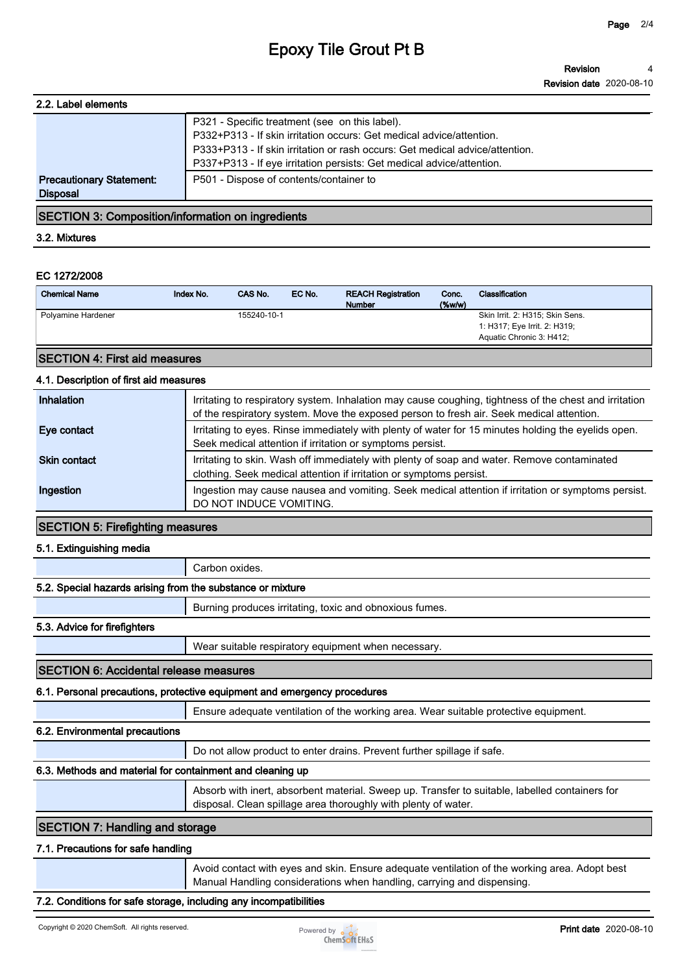# **Epoxy Tile Grout Pt B**

| 2.2. Label elements             |                                                                              |
|---------------------------------|------------------------------------------------------------------------------|
|                                 | P321 - Specific treatment (see on this label).                               |
|                                 | P332+P313 - If skin irritation occurs: Get medical advice/attention.         |
|                                 | P333+P313 - If skin irritation or rash occurs: Get medical advice/attention. |
|                                 | P337+P313 - If eye irritation persists: Get medical advice/attention.        |
| <b>Precautionary Statement:</b> | P501 - Dispose of contents/container to                                      |
| <b>Disposal</b>                 |                                                                              |

## **SECTION 3: Composition/information on ingredients**

#### **3.2. Mixtures**

## **EC 1272/2008**

| Skin Irrit. 2: H315; Skin Sens.<br>155240-10-1<br>Polyamine Hardener<br>1: H317; Eye Irrit. 2: H319; | <b>Chemical Name</b> | Index No. | CAS No. | EC No. | <b>REACH Registration</b><br><b>Number</b> | Conc.<br>$(\%w/w)$ | Classification           |
|------------------------------------------------------------------------------------------------------|----------------------|-----------|---------|--------|--------------------------------------------|--------------------|--------------------------|
|                                                                                                      |                      |           |         |        |                                            |                    | Aquatic Chronic 3: H412; |

## **SECTION 4: First aid measures**

## **4.1. Description of first aid measures**

| Inhalation          | Irritating to respiratory system. Inhalation may cause coughing, tightness of the chest and irritation<br>of the respiratory system. Move the exposed person to fresh air. Seek medical attention. |
|---------------------|----------------------------------------------------------------------------------------------------------------------------------------------------------------------------------------------------|
| Eye contact         | Irritating to eyes. Rinse immediately with plenty of water for 15 minutes holding the eyelids open.<br>Seek medical attention if irritation or symptoms persist.                                   |
| <b>Skin contact</b> | Irritating to skin. Wash off immediately with plenty of soap and water. Remove contaminated<br>clothing. Seek medical attention if irritation or symptoms persist.                                 |
| Ingestion           | Ingestion may cause nausea and vomiting. Seek medical attention if irritation or symptoms persist.<br>DO NOT INDUCE VOMITING.                                                                      |

## **SECTION 5: Firefighting measures**

### **5.1. Extinguishing media**

**Carbon oxides.**

|                                                            | Garbon oxides.                                                                                                                                                          |  |  |
|------------------------------------------------------------|-------------------------------------------------------------------------------------------------------------------------------------------------------------------------|--|--|
| 5.2. Special hazards arising from the substance or mixture |                                                                                                                                                                         |  |  |
|                                                            | Burning produces irritating, toxic and obnoxious fumes.                                                                                                                 |  |  |
| 5.3. Advice for firefighters                               |                                                                                                                                                                         |  |  |
|                                                            | Wear suitable respiratory equipment when necessary.                                                                                                                     |  |  |
| <b>ISECTION 6: Accidental release measures</b>             |                                                                                                                                                                         |  |  |
|                                                            | 6.1. Personal precautions, protective equipment and emergency procedures                                                                                                |  |  |
|                                                            | Ensure adequate ventilation of the working area. Wear suitable protective equipment.                                                                                    |  |  |
| 6.2. Environmental precautions                             |                                                                                                                                                                         |  |  |
|                                                            | Do not allow product to enter drains. Prevent further spillage if safe.                                                                                                 |  |  |
| 6.3. Methods and material for containment and cleaning up  |                                                                                                                                                                         |  |  |
|                                                            | Absorb with inert, absorbent material. Sweep up. Transfer to suitable, labelled containers for<br>disposal. Clean spillage area thoroughly with plenty of water.        |  |  |
| <b>SECTION 7: Handling and storage</b>                     |                                                                                                                                                                         |  |  |
| 7.1. Precautions for safe handling                         |                                                                                                                                                                         |  |  |
|                                                            | Avoid contact with eyes and skin. Ensure adequate ventilation of the working area. Adopt best<br>Manual Handling considerations when handling, carrying and dispensing. |  |  |
|                                                            |                                                                                                                                                                         |  |  |

### **7.2. Conditions for safe storage, including any incompatibilities**

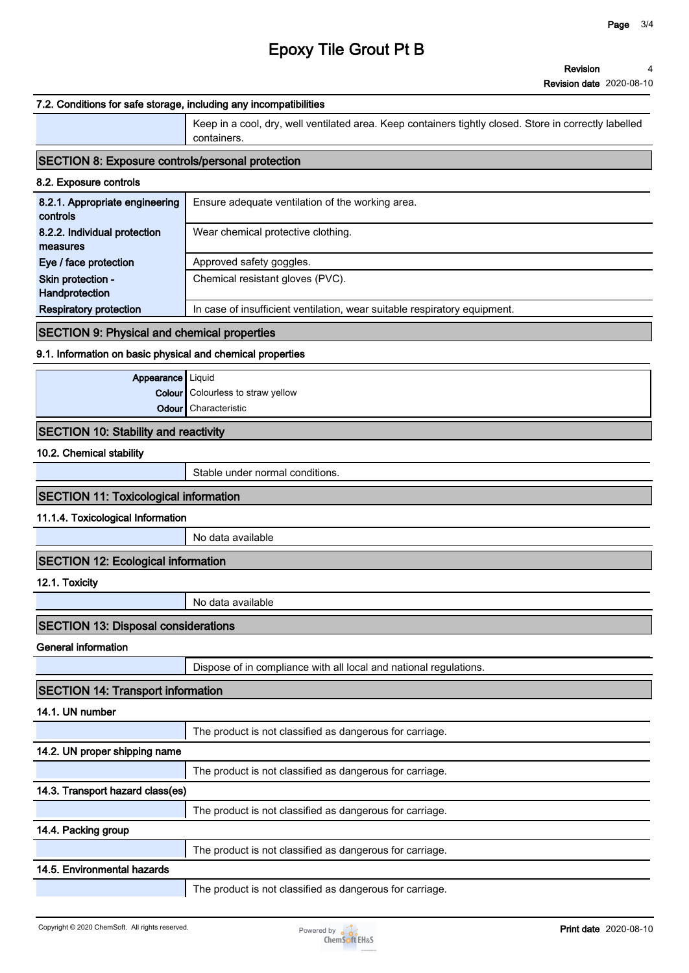## **Epoxy Tile Grout Pt B**

#### **Revision date 2020-08-10**

#### **7.2. Conditions for safe storage, including any incompatibilities**

**Keep in a cool, dry, well ventilated area. Keep containers tightly closed. Store in correctly labelled containers.**

#### **SECTION 8: Exposure controls/personal protection**

| 8.2. Exposure controls                     |                                                                           |
|--------------------------------------------|---------------------------------------------------------------------------|
| 8.2.1. Appropriate engineering<br>controls | Ensure adequate ventilation of the working area.                          |
| 8.2.2. Individual protection<br>measures   | Wear chemical protective clothing.                                        |
| Eye / face protection                      | Approved safety goggles.                                                  |
| Skin protection -<br>Handprotection        | Chemical resistant gloves (PVC).                                          |
| <b>Respiratory protection</b>              | In case of insufficient ventilation, wear suitable respiratory equipment. |

## **SECTION 9: Physical and chemical properties**

## **9.1. Information on basic physical and chemical properties**

| <b>Appearance</b> Liquid |                                          |
|--------------------------|------------------------------------------|
|                          | <b>Colour</b> Colourless to straw yellow |
|                          | <b>Odour</b> Characteristic              |
|                          |                                          |

#### **SECTION 10: Stability and reactivity**

#### **10.2. Chemical stability**

**Stable under normal conditions.**

## **SECTION 11: Toxicological information**

**11.1.4. Toxicological Information**

**No data available**

## **SECTION 12: Ecological information**

**12.1. Toxicity**

**No data available**

### **SECTION 13: Disposal considerations**

#### **General information**

**Dispose of in compliance with all local and national regulations.**

#### **SECTION 14: Transport information**

**14.1. UN number**

**The product is not classified as dangerous for carriage.**

### **14.2. UN proper shipping name**

**The product is not classified as dangerous for carriage.**

## **14.3. Transport hazard class(es)**

**The product is not classified as dangerous for carriage.**

## **14.4. Packing group**

**The product is not classified as dangerous for carriage.**

## **14.5. Environmental hazards**

**The product is not classified as dangerous for carriage.**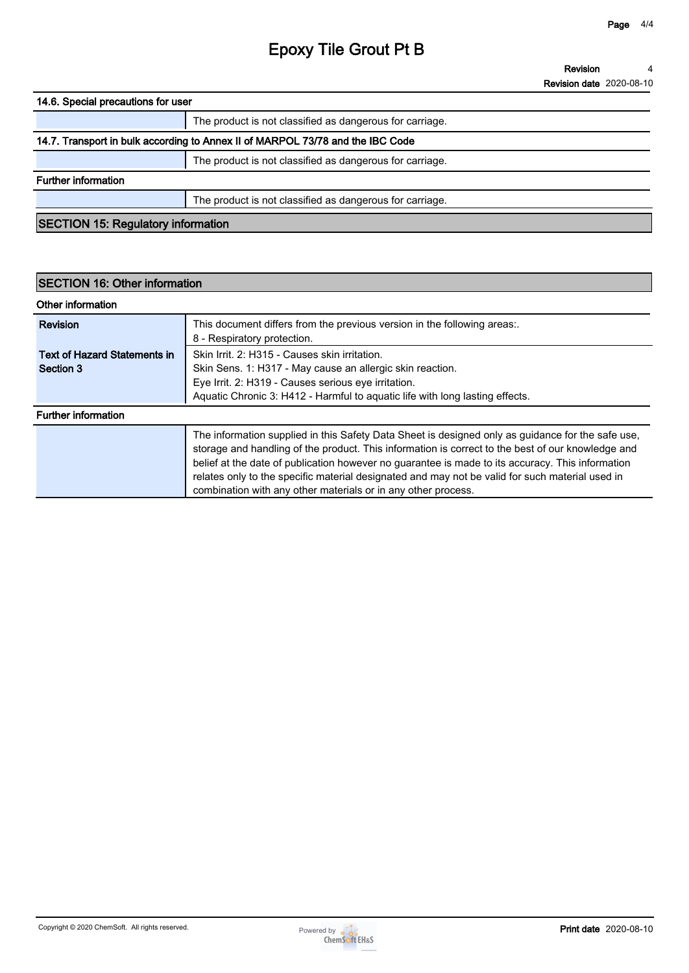# **Epoxy Tile Grout Pt B**

**Revision Revision date 2020-08-10 4**

**14.6. Special precautions for user**

## **14.7. Transport in bulk according to Annex II of MARPOL 73/78 and the IBC Code**

**The product is not classified as dangerous for carriage.**

**Further information**

**The product is not classified as dangerous for carriage.**

**SECTION 15: Regulatory information**

| <b>SECTION 16: Other information</b>             |                                                                                                                                                                                                                                                                                                                                                                                                                                                                                |  |
|--------------------------------------------------|--------------------------------------------------------------------------------------------------------------------------------------------------------------------------------------------------------------------------------------------------------------------------------------------------------------------------------------------------------------------------------------------------------------------------------------------------------------------------------|--|
| Other information                                |                                                                                                                                                                                                                                                                                                                                                                                                                                                                                |  |
| <b>Revision</b>                                  | This document differs from the previous version in the following areas:.<br>8 - Respiratory protection.                                                                                                                                                                                                                                                                                                                                                                        |  |
| <b>Text of Hazard Statements in</b><br>Section 3 | Skin Irrit. 2: H315 - Causes skin irritation.<br>Skin Sens. 1: H317 - May cause an allergic skin reaction.<br>Eye Irrit. 2: H319 - Causes serious eye irritation.<br>Aquatic Chronic 3: H412 - Harmful to aquatic life with long lasting effects.                                                                                                                                                                                                                              |  |
| <b>Further information</b>                       |                                                                                                                                                                                                                                                                                                                                                                                                                                                                                |  |
|                                                  | The information supplied in this Safety Data Sheet is designed only as guidance for the safe use,<br>storage and handling of the product. This information is correct to the best of our knowledge and<br>belief at the date of publication however no guarantee is made to its accuracy. This information<br>relates only to the specific material designated and may not be valid for such material used in<br>combination with any other materials or in any other process. |  |

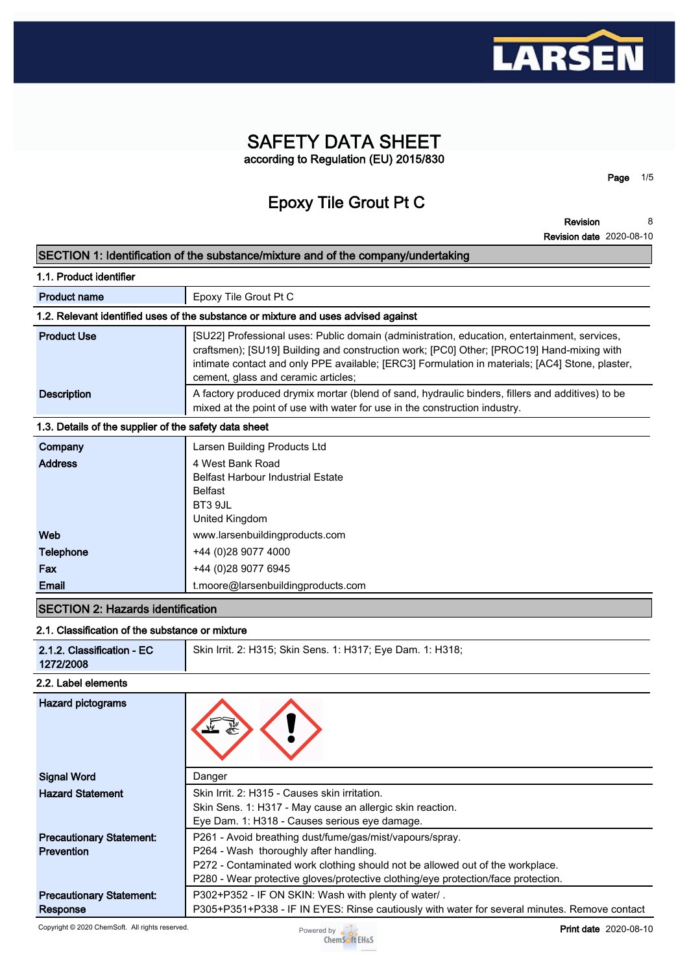

## **SAFETY DATA SHEET according to Regulation (EU) 2015/830**

**Epoxy Tile Grout Pt C**

**Revision 8**

**Page 1/5**

**Revision date 2020-08-10**

## **SECTION 1: Identification of the substance/mixture and of the company/undertaking 1.1. Product identifier Product name Epoxy Tile Grout Pt C 1.2. Relevant identified uses of the substance or mixture and uses advised against Product Use [SU22] Professional uses: Public domain (administration, education, entertainment, services, <b>Product craftsmen); [SU19] Building and construction work; [PC0] Other; [PROC19] Hand-mixing with intimate contact and only PPE available; [ERC3] Formulation in materials; [AC4] Stone, plaster, cement, glass and ceramic articles; Description A** factory produced drymix mortar (blend of sand, hydraulic binders, fillers and additives) to be **mixed at the point of use with water for use in the construction industry. 1.3. Details of the supplier of the safety data sheet Company Larsen Building Products Ltd Address 4 West Bank Road Belfast Harbour Industrial Estate Belfast BT3 9JL United Kingdom Web www.larsenbuildingproducts.com Telephone +44 (0)28 9077 4000 Fax +44** (0)28 9077 6945 **Email t.moore@larsenbuildingproducts.com SECTION 2: Hazards identification**

### **2.1. Classification of the substance or mixture**

| 2.1.2. Classification - EC<br>1272/2008 | Skin Irrit. 2: H315; Skin Sens. 1: H317; Eye Dam. 1: H318; |
|-----------------------------------------|------------------------------------------------------------|
| 2.2. Label elements                     |                                                            |

| <b>Hazard pictograms</b>        |                                                                                              |
|---------------------------------|----------------------------------------------------------------------------------------------|
| <b>Signal Word</b>              | Danger                                                                                       |
| <b>Hazard Statement</b>         | Skin Irrit. 2: H315 - Causes skin irritation.                                                |
|                                 | Skin Sens. 1: H317 - May cause an allergic skin reaction.                                    |
|                                 | Eye Dam. 1: H318 - Causes serious eye damage.                                                |
| <b>Precautionary Statement:</b> | P261 - Avoid breathing dust/fume/gas/mist/vapours/spray.                                     |
| Prevention                      | P264 - Wash thoroughly after handling.                                                       |
|                                 | P272 - Contaminated work clothing should not be allowed out of the workplace.                |
|                                 | P280 - Wear protective gloves/protective clothing/eye protection/face protection.            |
| <b>Precautionary Statement:</b> | P302+P352 - IF ON SKIN: Wash with plenty of water/.                                          |
| Response                        | P305+P351+P338 - IF IN EYES: Rinse cautiously with water for several minutes. Remove contact |

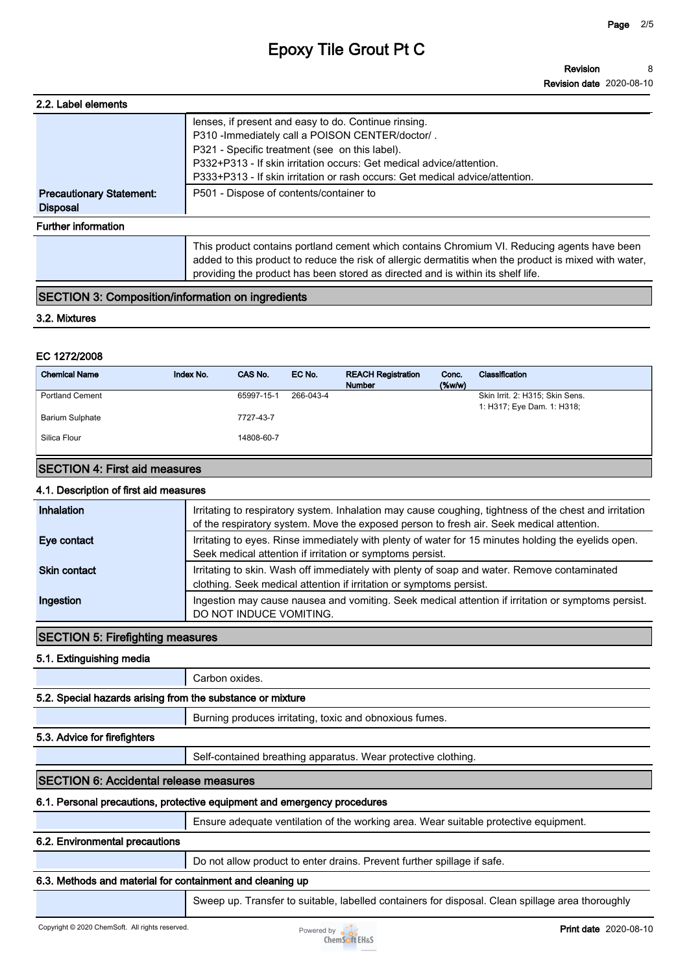# **Epoxy Tile Grout Pt C**

| 2.2. Label elements             |                                                                                                       |
|---------------------------------|-------------------------------------------------------------------------------------------------------|
|                                 | lenses, if present and easy to do. Continue rinsing.                                                  |
|                                 | P310 - Immediately call a POISON CENTER/doctor/.                                                      |
|                                 | P321 - Specific treatment (see on this label).                                                        |
|                                 | P332+P313 - If skin irritation occurs: Get medical advice/attention.                                  |
|                                 | P333+P313 - If skin irritation or rash occurs: Get medical advice/attention.                          |
| <b>Precautionary Statement:</b> | P501 - Dispose of contents/container to                                                               |
| <b>Disposal</b>                 |                                                                                                       |
| <b>Further information</b>      |                                                                                                       |
|                                 | This product contains portland cement which contains Chromium VI. Reducing agents have been           |
|                                 | added to this product to reduce the risk of allergic dermatitis when the product is mixed with water, |
|                                 | providing the product has been stored as directed and is within its shelf life.                       |

## **SECTION 3: Composition/information on ingredients**

#### **3.2. Mixtures**

## **EC 1272/2008**

| <b>Chemical Name</b>   | Index No. | CAS No.    | EC No.    | <b>REACH Registration</b><br><b>Number</b> | Conc.<br>(% | Classification                                                |
|------------------------|-----------|------------|-----------|--------------------------------------------|-------------|---------------------------------------------------------------|
| <b>Portland Cement</b> |           | 65997-15-1 | 266-043-4 |                                            |             | Skin Irrit. 2: H315; Skin Sens.<br>1: H317; Eye Dam. 1: H318; |
| <b>Barium Sulphate</b> |           | 7727-43-7  |           |                                            |             |                                                               |
| Silica Flour           |           | 14808-60-7 |           |                                            |             |                                                               |

## **SECTION 4: First aid measures**

## **4.1. Description of first aid measures**

| Inhalation          | Irritating to respiratory system. Inhalation may cause coughing, tightness of the chest and irritation<br>of the respiratory system. Move the exposed person to fresh air. Seek medical attention. |
|---------------------|----------------------------------------------------------------------------------------------------------------------------------------------------------------------------------------------------|
| Eye contact         | Irritating to eyes. Rinse immediately with plenty of water for 15 minutes holding the eyelids open.<br>Seek medical attention if irritation or symptoms persist.                                   |
| <b>Skin contact</b> | Irritating to skin. Wash off immediately with plenty of soap and water. Remove contaminated<br>clothing. Seek medical attention if irritation or symptoms persist.                                 |
| Ingestion           | Ingestion may cause nausea and vomiting. Seek medical attention if irritation or symptoms persist.<br>DO NOT INDUCE VOMITING.                                                                      |

## **SECTION 5: Firefighting measures**

**5.1. Extinguishing media**

**Carbon oxides.**

## **5.2. Special hazards arising from the substance or mixture**

**Burning produces irritating, toxic and obnoxious fumes.**

## **5.3. Advice for firefighters**

**Self-contained breathing apparatus. Wear protective clothing.**

## **SECTION 6: Accidental release measures**

## **6.1. Personal precautions, protective equipment and emergency procedures**

**Ensure adequate ventilation of the working area. Wear suitable protective equipment.**

## **6.2. Environmental precautions**

**Do not allow product to enter drains. Prevent further spillage if safe.**

## **6.3. Methods and material for containment and cleaning up**

**Sweep up. Transfer to suitable, labelled containers for disposal. Clean spillage area thoroughly** 

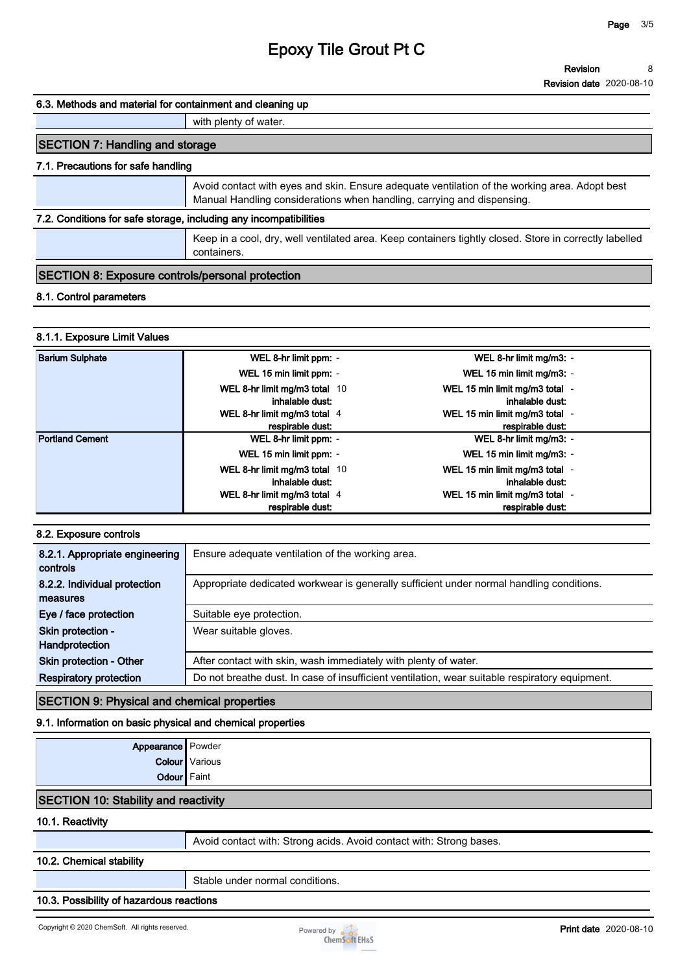#### **Revision 8**

**Revision date 2020-08-10**

#### **6.3. Methods and material for containment and cleaning up**

**with plenty of water.**

## **SECTION 7: Handling and storage**

## **7.1. Precautions for safe handling**

**Avoid contact with eyes and skin. Ensure adequate ventilation of the working area. Adopt best Manual Handling considerations when handling, carrying and dispensing.**

## **7.2. Conditions for safe storage, including any incompatibilities**

**Keep in a cool, dry, well ventilated area. Keep containers tightly closed. Store in correctly labelled containers.**

### **SECTION 8: Exposure controls/personal protection**

## **8.1. Control parameters**

## **8.1.1. Exposure Limit Values**

| <b>Barium Sulphate</b> | WEL 8-hr limit ppm: -                                                            | WEL 8-hr limit mg/m3: -                                                             |
|------------------------|----------------------------------------------------------------------------------|-------------------------------------------------------------------------------------|
|                        | WEL 15 min limit ppm: -                                                          | WEL 15 min limit mg/m3: -                                                           |
|                        | WEL 8-hr limit mg/m3 total 10<br>inhalable dust:<br>WEL 8-hr limit mg/m3 total 4 | WEL 15 min limit mg/m3 total -<br>inhalable dust:<br>WEL 15 min limit mg/m3 total - |
|                        | respirable dust:                                                                 | respirable dust:                                                                    |
| <b>Portland Cement</b> | WEL 8-hr limit ppm: -                                                            | WEL 8-hr limit mg/m3: -                                                             |
|                        | WEL 15 min limit ppm: -                                                          | WEL 15 min limit mg/m3: -                                                           |
|                        | WEL 8-hr limit mg/m3 total 10<br>inhalable dust:                                 | WEL 15 min limit mg/m3 total -<br>inhalable dust:                                   |
|                        | WEL 8-hr limit mg/m3 total 4                                                     | WEL 15 min limit mg/m3 total -                                                      |
|                        | respirable dust:                                                                 | respirable dust:                                                                    |

### **8.2. Exposure controls**

| 8.2.1. Appropriate engineering<br>controls | Ensure adequate ventilation of the working area.                                               |
|--------------------------------------------|------------------------------------------------------------------------------------------------|
| 8.2.2. Individual protection               | Appropriate dedicated workwear is generally sufficient under normal handling conditions.       |
| measures                                   |                                                                                                |
| Eye / face protection                      | Suitable eye protection.                                                                       |
| Skin protection -                          | Wear suitable gloves.                                                                          |
| Handprotection                             |                                                                                                |
| <b>Skin protection - Other</b>             | After contact with skin, wash immediately with plenty of water.                                |
| <b>Respiratory protection</b>              | Do not breathe dust. In case of insufficient ventilation, wear suitable respiratory equipment. |

## **SECTION 9: Physical and chemical properties**

### **9.1. Information on basic physical and chemical properties**

| <b>Appearance</b> Powder                    |                                                                     |
|---------------------------------------------|---------------------------------------------------------------------|
|                                             | <b>Colour</b> Various                                               |
| <b>Odour</b> Faint                          |                                                                     |
| <b>SECTION 10: Stability and reactivity</b> |                                                                     |
| 10.1. Reactivity                            |                                                                     |
|                                             | Avoid contact with: Strong acids. Avoid contact with: Strong bases. |
| 10.2. Chemical stability                    |                                                                     |
|                                             | Stable under normal conditions.                                     |
| 10.3. Possibility of hazardous reactions    |                                                                     |

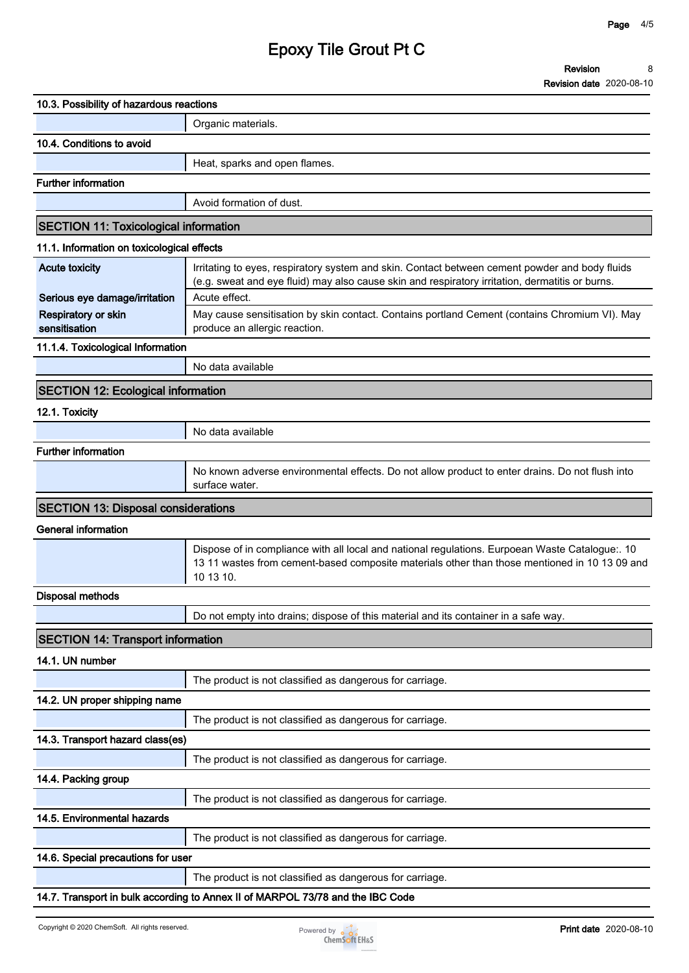# **Epoxy Tile Grout Pt C**

| 10.3. Possibility of hazardous reactions     |                                                                                                                                                                                                   |
|----------------------------------------------|---------------------------------------------------------------------------------------------------------------------------------------------------------------------------------------------------|
|                                              | Organic materials.                                                                                                                                                                                |
| 10.4. Conditions to avoid                    |                                                                                                                                                                                                   |
|                                              | Heat, sparks and open flames.                                                                                                                                                                     |
| <b>Further information</b>                   |                                                                                                                                                                                                   |
|                                              | Avoid formation of dust.                                                                                                                                                                          |
| <b>SECTION 11: Toxicological information</b> |                                                                                                                                                                                                   |
| 11.1. Information on toxicological effects   |                                                                                                                                                                                                   |
| <b>Acute toxicity</b>                        | Irritating to eyes, respiratory system and skin. Contact between cement powder and body fluids<br>(e.g. sweat and eye fluid) may also cause skin and respiratory irritation, dermatitis or burns. |
| Serious eye damage/irritation                | Acute effect.                                                                                                                                                                                     |
| Respiratory or skin<br>sensitisation         | May cause sensitisation by skin contact. Contains portland Cement (contains Chromium VI). May<br>produce an allergic reaction.                                                                    |
| 11.1.4. Toxicological Information            |                                                                                                                                                                                                   |
|                                              | No data available                                                                                                                                                                                 |
| <b>SECTION 12: Ecological information</b>    |                                                                                                                                                                                                   |
| 12.1. Toxicity                               |                                                                                                                                                                                                   |
|                                              | No data available                                                                                                                                                                                 |
| <b>Further information</b>                   |                                                                                                                                                                                                   |
|                                              | No known adverse environmental effects. Do not allow product to enter drains. Do not flush into<br>surface water.                                                                                 |
| <b>SECTION 13: Disposal considerations</b>   |                                                                                                                                                                                                   |
| <b>General information</b>                   |                                                                                                                                                                                                   |
|                                              |                                                                                                                                                                                                   |
|                                              | Dispose of in compliance with all local and national regulations. Eurpoean Waste Catalogue:. 10<br>10 13 10.                                                                                      |
| <b>Disposal methods</b>                      |                                                                                                                                                                                                   |
|                                              | Do not empty into drains; dispose of this material and its container in a safe way.                                                                                                               |
| <b>SECTION 14: Transport information</b>     |                                                                                                                                                                                                   |
| 14.1. UN number                              |                                                                                                                                                                                                   |
|                                              | 13 11 wastes from cement-based composite materials other than those mentioned in 10 13 09 and<br>The product is not classified as dangerous for carriage.                                         |
| 14.2. UN proper shipping name                |                                                                                                                                                                                                   |
|                                              | The product is not classified as dangerous for carriage.                                                                                                                                          |
| 14.3. Transport hazard class(es)             |                                                                                                                                                                                                   |
|                                              | The product is not classified as dangerous for carriage.                                                                                                                                          |
| 14.4. Packing group                          |                                                                                                                                                                                                   |
|                                              | The product is not classified as dangerous for carriage.                                                                                                                                          |
| 14.5. Environmental hazards                  |                                                                                                                                                                                                   |
|                                              | The product is not classified as dangerous for carriage.                                                                                                                                          |
| 14.6. Special precautions for user           |                                                                                                                                                                                                   |
|                                              | The product is not classified as dangerous for carriage.                                                                                                                                          |

**14.7. Transport in bulk according to Annex II of MARPOL 73/78 and the IBC Code**